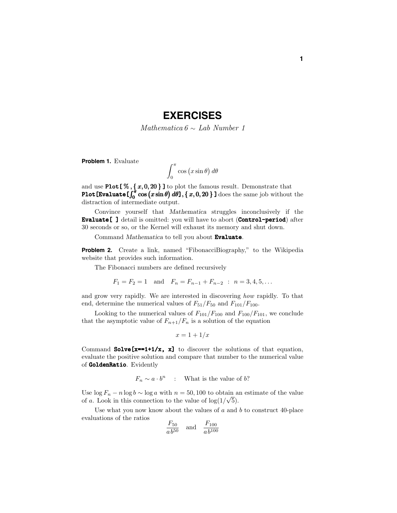## **EXERCISES**

Mathematica  $6 \sim$  Lab Number 1

**Problem 1.** Evaluate

$$
\int_0^\pi \cos\left(x\sin\theta\right)d\theta
$$

and use Plot[ % *,* { *x,* 0*,* 20 } ] to plot the famous result. Demonstrate that Plot [Evaluate  $\int_0^{\pi} \cos(x \sin \theta) d\theta$ ],  $\{x, 0, 20\}$  ] does the same job without the distraction of intermediate output.

Convince yourself that *Mathematica* struggles inconclusively if the Evaluate[ ] detail is omitted: you will have to abort (Control-period) after 30 seconds or so, or the Kernel will exhaust its memory and shut down.

Command *Mathematica* to tell you about Evaluate.

**Problem 2.** Create a link, named "FibonacciBiography," to the Wikipedia website that provides such information.

The Fibonacci numbers are defined recursively

$$
F_1 = F_2 = 1
$$
 and  $F_n = F_{n-1} + F_{n-2}$  :  $n = 3, 4, 5, ...$ 

and grow very rapidly. We are interested in discovering how rapidly. To that end, determine the numerical values of  $F_{51}/F_{50}$  and  $F_{101}/F_{100}$ .

Looking to the numerical values of  $F_{101}/F_{100}$  and  $F_{100}/F_{101}$ , we conclude that the asymptotic value of  $F_{n+1}/F_n$  is a solution of the equation

$$
x = 1 + 1/x
$$

Command Solve[x==1+1/x, x] to discover the solutions of that equation, evaluate the positive solution and compare that number to the numerical value of GoldenRatio. Evidently

 $F_n \sim a \cdot b^n$  : What is the value of *b*?

Use  $\log F_n - n \log b \sim \log a$  with  $n = 50, 100$  to obtain an estimate of the value  $\cos \log F_n - n \log o \sim \log a$  with  $n = 50$ , 100 to obtain a of a. Look in this connection to the value of  $\log(1/\sqrt{5})$ .

Use what you now know about the values of *a* and *b* to construct 40-place evaluations of the ratios

$$
\frac{F_{50}}{ab^{50}}
$$
 and  $\frac{F_{100}}{ab^{100}}$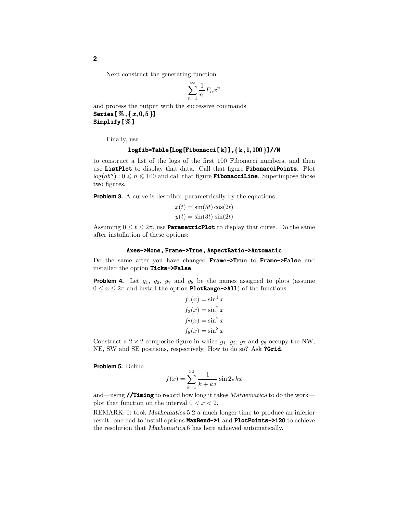Next construct the generating function

$$
\sum_{n=1}^{\infty} \frac{1}{n!} F_n x^n
$$

and process the output with the successive commands Series[ % *,* { *x,* 0*,* 5 }] Simplify[%]

Finally, use

## $logfib=Table[Log[Fibonacci[k]], {k, 1, 100}] //N$

to construct a list of the logs of the first 100 Fibonacci numbers, and then use ListPlot to display that data. Call that figure FibonacciPoints. Plot  $log(ab^n):0 \leq n \leq 100$  and call that figure **FibonacciLine**. Superimpose those two figures.

**Problem 3.** A curve is described parametrically by the equations

$$
x(t) = \sin(5t)\cos(2t)
$$
  

$$
y(t) = \sin(3t)\sin(2t)
$$

Assuming  $0 \le t \le 2\pi$ , use **ParametricPlot** to display that curve. Do the same after installation of these options:

## Axes->None, Frame->True, AspectRatio->Automatic

Do the same after you have changed Frame->True to Frame->False and installed the option Ticks->False.

**Problem 4.** Let  $g_1$ ,  $g_2$ ,  $g_7$  and  $g_8$  be the names assigned to plots (assume  $0 \leq x \leq 2\pi$  and install the option **PlotRange->All**) of the functions

$$
f_1(x) = \sin^1 x
$$
  
\n
$$
f_2(x) = \sin^2 x
$$
  
\n
$$
f_7(x) = \sin^7 x
$$
  
\n
$$
f_8(x) = \sin^8 x
$$

Construct a  $2 \times 2$  composite figure in which  $g_1, g_2, g_7$  and  $g_8$  occupy the NW, NE, SW and SE positions, respectively. How to do so? Ask ?Grid.

**Problem 5.** Define

$$
f(x) = \sum_{k=1}^{30} \frac{1}{k + k^{\frac{1}{3}}} \sin 2\pi kx
$$

and—using //Timing to record how long it takes *Mathematica* to do the work plot that function on the interval  $0 < x < 2$ .

REMARK: It took *Mathematica* 5.2 a much longer time to produce an inferior result: one had to install options MaxBend->1 and PlotPoints->120 to achieve the resolution that *Mathematica* 6 has here achieved automatically.

**2**